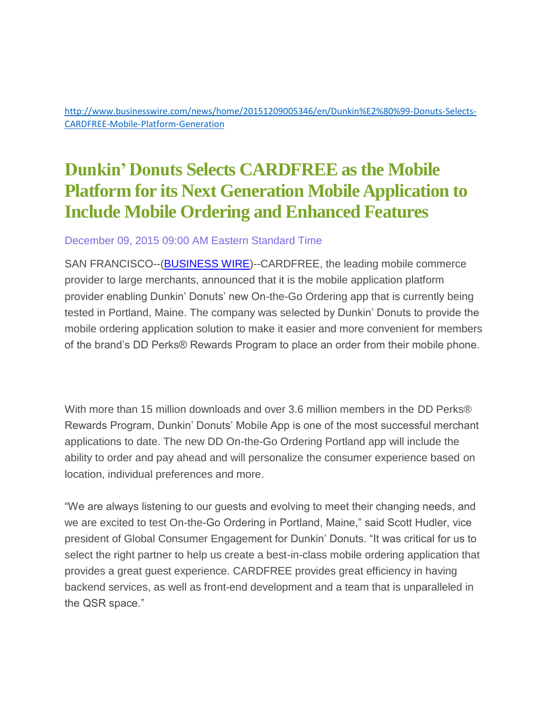[http://www.businesswire.com/news/home/20151209005346/en/Dunkin%E2%80%99-Donuts-Selects-](http://www.businesswire.com/news/home/20151209005346/en/Dunkin%E2%80%99-Donuts-Selects-CARDFREE-Mobile-Platform-Generation)[CARDFREE-Mobile-Platform-Generation](http://www.businesswire.com/news/home/20151209005346/en/Dunkin%E2%80%99-Donuts-Selects-CARDFREE-Mobile-Platform-Generation)

## **Dunkin' Donuts Selects CARDFREE as the Mobile Platform for its Next Generation Mobile Application to Include Mobile Ordering and Enhanced Features**

## December 09, 2015 09:00 AM Eastern Standard Time

SAN FRANCISCO--[\(BUSINESS WIRE\)](http://www.businesswire.com/)--CARDFREE, the leading mobile commerce provider to large merchants, announced that it is the mobile application platform provider enabling Dunkin' Donuts' new On-the-Go Ordering app that is currently being tested in Portland, Maine. The company was selected by Dunkin' Donuts to provide the mobile ordering application solution to make it easier and more convenient for members of the brand's DD Perks® Rewards Program to place an order from their mobile phone.

With more than 15 million downloads and over 3.6 million members in the DD Perks® Rewards Program, Dunkin' Donuts' Mobile App is one of the most successful merchant applications to date. The new DD On-the-Go Ordering Portland app will include the ability to order and pay ahead and will personalize the consumer experience based on location, individual preferences and more.

"We are always listening to our guests and evolving to meet their changing needs, and we are excited to test On-the-Go Ordering in Portland, Maine," said Scott Hudler, vice president of Global Consumer Engagement for Dunkin' Donuts. "It was critical for us to select the right partner to help us create a best-in-class mobile ordering application that provides a great guest experience. CARDFREE provides great efficiency in having backend services, as well as front-end development and a team that is unparalleled in the QSR space."